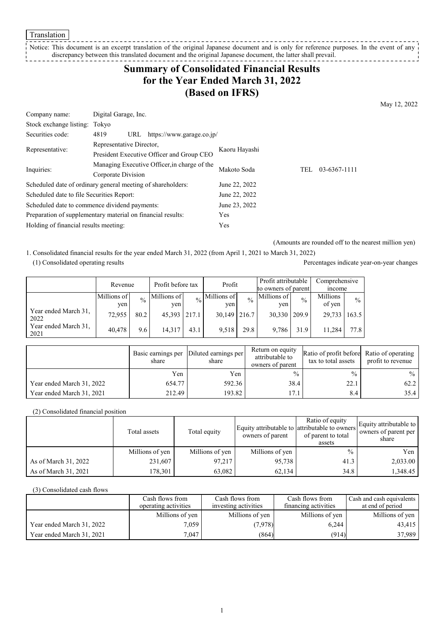Translation

#### Notice: This document is an excerpt translation of the original Japanese document and is only for reference purposes. In the event of any discrepancy between this translated document and the original Japanese document, the latter shall prevail. -----------

# **Summary of Consolidated Financial Results for the Year Ended March 31, 2022 (Based on IFRS)**

May 12, 2022

| Company name:                                               | Digital Garage, Inc.                         |                                           |               |     |              |
|-------------------------------------------------------------|----------------------------------------------|-------------------------------------------|---------------|-----|--------------|
| Stock exchange listing: Tokyo                               |                                              |                                           |               |     |              |
| Securities code:                                            | 4819<br>URL                                  | https://www.garage.co.jp/                 |               |     |              |
|                                                             | Representative Director,                     |                                           |               |     |              |
| Representative:                                             |                                              | President Executive Officer and Group CEO | Kaoru Hayashi |     |              |
|                                                             | Managing Executive Officer, in charge of the |                                           | Makoto Soda   | TEL | 03-6367-1111 |
| Inquiries:                                                  | Corporate Division                           |                                           |               |     |              |
| Scheduled date of ordinary general meeting of shareholders: |                                              |                                           | June 22, 2022 |     |              |
| Scheduled date to file Securities Report:                   |                                              | June 22, 2022                             |               |     |              |
| Scheduled date to commence dividend payments:               |                                              | June 23, 2022                             |               |     |              |
| Preparation of supplementary material on financial results: |                                              | Yes                                       |               |     |              |
| Holding of financial results meeting:                       |                                              | Yes                                       |               |     |              |

(Amounts are rounded off to the nearest million yen)

1. Consolidated financial results for the year ended March 31, 2022 (from April 1, 2021 to March 31, 2022) (1) Consolidated operating results Percentages indicate year-on-year changes

|                              | Revenue            |               | Profit before tax  |      | Profit             |               | Profit attributable<br>to owners of parent |               | Comprehensive<br>mcome |               |
|------------------------------|--------------------|---------------|--------------------|------|--------------------|---------------|--------------------------------------------|---------------|------------------------|---------------|
|                              | Millions of<br>yen | $\frac{0}{0}$ | Millions of<br>yen |      | Millions of<br>ven | $\frac{0}{0}$ | Millions of<br>ven                         | $\frac{0}{0}$ | Millions<br>of yen     | $\frac{0}{0}$ |
| Year ended March 31,<br>2022 | 72,955             | 80.2          | 45,393 217.1       |      | $30,149$   216.7   |               | 30,330                                     | 209.9         | 29,733                 | 163.5         |
| Year ended March 31,<br>2021 | 40.478             | 9.6           | 14,317             | 43.1 | 9.518              | 29.8          | 9.786                                      | 31.9          | 11.284                 | 77.8          |

|                           | share  | Basic earnings per  Diluted earnings per  <br>share | Return on equity<br>attributable to<br>owners of parent | Ratio of profit before Ratio of operating<br>tax to total assets | profit to revenue |
|---------------------------|--------|-----------------------------------------------------|---------------------------------------------------------|------------------------------------------------------------------|-------------------|
|                           | Yen    | Yen                                                 | $\frac{0}{0}$                                           | $\frac{0}{0}$                                                    | $\%$              |
| Year ended March 31, 2022 | 654.77 | 592.36                                              | 38.4                                                    | 22.1                                                             | 62.2              |
| Year ended March 31, 2021 | 212.49 | 193.82                                              | 17.1                                                    | 8.4                                                              | 35.4              |

### (2) Consolidated financial position

|                      | Total assets    | Total equity    | owners of parent | Ratio of equity<br>Equity attributable to attributable to owners<br>of parent to total<br>assets | Equity attributable to<br>owners of parent per<br>share |
|----------------------|-----------------|-----------------|------------------|--------------------------------------------------------------------------------------------------|---------------------------------------------------------|
|                      | Millions of yen | Millions of yen | Millions of yen  | $\frac{0}{0}$                                                                                    | Yen                                                     |
| As of March 31, 2022 | 231,607         | 97,217          | 95,738           | 41.3                                                                                             | 2,033.00                                                |
| As of March 31, 2021 | 178,301         | 63,082          | 62,134           | 34.8                                                                                             | 1,348.45                                                |

#### (3) Consolidated cash flows

|                           | Cash flows from      | Cash flows from      | Cash flows from      | Cash and cash equivalents |
|---------------------------|----------------------|----------------------|----------------------|---------------------------|
|                           | operating activities | investing activities | financing activities | at end of period          |
|                           | Millions of yen      | Millions of yen      | Millions of yen      | Millions of yen           |
| Year ended March 31, 2022 | 7.059                | (7,978)              | 6.244                | 43,415                    |
| Year ended March 31, 2021 | 7,047                | (864)                | (914)                | 37,989                    |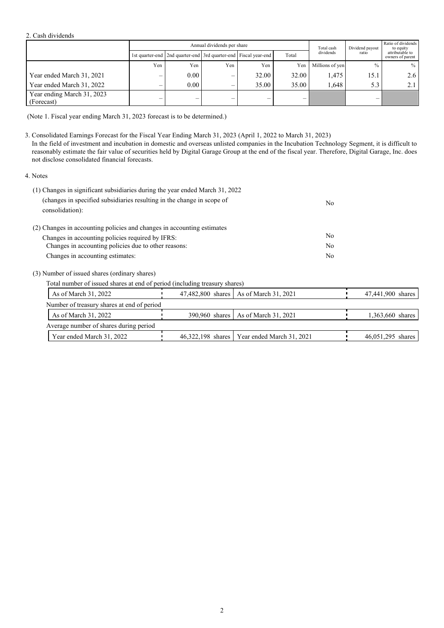#### 2. Cash dividends

| Annual dividends per share               |     |                                                                 |                          |       | Total cash | Dividend payout | Ratio of dividends<br>to equity |                                     |
|------------------------------------------|-----|-----------------------------------------------------------------|--------------------------|-------|------------|-----------------|---------------------------------|-------------------------------------|
|                                          |     | 1st quarter-end 2nd quarter-end 3rd quarter-end Fiscal year-end |                          |       | Total      | dividends       | ratio                           | attributable to<br>owners of parent |
|                                          | Yen | Yen                                                             | Yen                      | Yen   | Yen        | Millions of yen | $\frac{0}{0}$                   | $\%$                                |
| Year ended March 31, 2021                | –   | 0.00                                                            | $\overline{\phantom{0}}$ | 32.00 | 32.00      | 1.475           | 15.1                            | 2.6                                 |
| Year ended March 31, 2022                | –   | 0.00                                                            |                          | 35.00 | 35.00      | 1.648           | 5.3                             | 2.1                                 |
| Year ending March 31, 2023<br>(Forecast) |     | $\overline{\phantom{0}}$                                        |                          | –     | -          |                 | —                               |                                     |

(Note 1. Fiscal year ending March 31, 2023 forecast is to be determined.)

3. Consolidated Earnings Forecast for the Fiscal Year Ending March 31, 2023 (April 1, 2022 to March 31, 2023)

In the field of investment and incubation in domestic and overseas unlisted companies in the Incubation Technology Segment, it is difficult to reasonably estimate the fair value of securities held by Digital Garage Group at the end of the fiscal year. Therefore, Digital Garage, Inc. does not disclose consolidated financial forecasts.

### 4. Notes

| (1) Changes in significant subsidiaries during the year ended March 31, 2022              |     |
|-------------------------------------------------------------------------------------------|-----|
| (changes in specified subsidiaries resulting in the change in scope of<br>consolidation): | No. |
| (2) Changes in accounting policies and changes in accounting estimates                    |     |
| Changes in accounting policies required by IFRS:                                          | No. |
| Changes in accounting policies due to other reasons:                                      | No. |
| Changes in accounting estimates:                                                          | No. |

(3) Number of issued shares (ordinary shares)

Total number of issued shares at end of period (including treasury shares)

| As of March 31, 2022                       | 47,482,800 shares As of March 31, 2021        | 47,441,900 shares |
|--------------------------------------------|-----------------------------------------------|-------------------|
| Number of treasury shares at end of period |                                               |                   |
| As of March 31, 2022                       | 390,960 shares   As of March 31, 2021         | 1,363,660 shares  |
| Average number of shares during period     |                                               |                   |
| Year ended March 31, 2022                  | 46.322.198 shares   Year ended March 31, 2021 | 46,051,295 shares |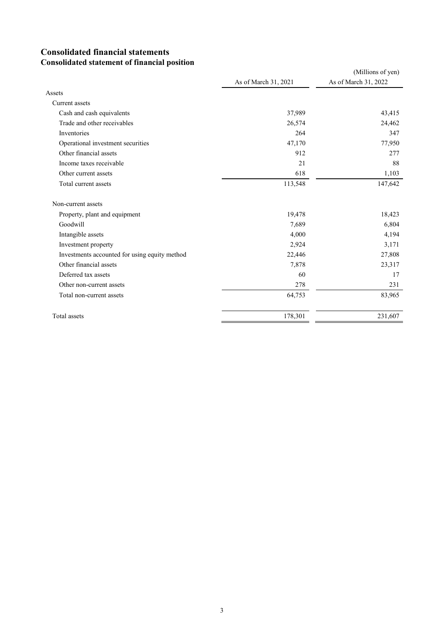### **Consolidated financial statements Consolidated statement of financial position**

|                                               |                      | (Millions of yen)    |
|-----------------------------------------------|----------------------|----------------------|
|                                               | As of March 31, 2021 | As of March 31, 2022 |
| Assets                                        |                      |                      |
| Current assets                                |                      |                      |
| Cash and cash equivalents                     | 37,989               | 43,415               |
| Trade and other receivables                   | 26,574               | 24,462               |
| Inventories                                   | 264                  | 347                  |
| Operational investment securities             | 47,170               | 77,950               |
| Other financial assets                        | 912                  | 277                  |
| Income taxes receivable                       | 21                   | 88                   |
| Other current assets                          | 618                  | 1,103                |
| Total current assets                          | 113,548              | 147,642              |
| Non-current assets                            |                      |                      |
| Property, plant and equipment                 | 19,478               | 18,423               |
| Goodwill                                      | 7,689                | 6,804                |
| Intangible assets                             | 4,000                | 4,194                |
| Investment property                           | 2,924                | 3,171                |
| Investments accounted for using equity method | 22,446               | 27,808               |
| Other financial assets                        | 7,878                | 23,317               |
| Deferred tax assets                           | 60                   | 17                   |
| Other non-current assets                      | 278                  | 231                  |
| Total non-current assets                      | 64,753               | 83,965               |
| Total assets                                  | 178,301              | 231,607              |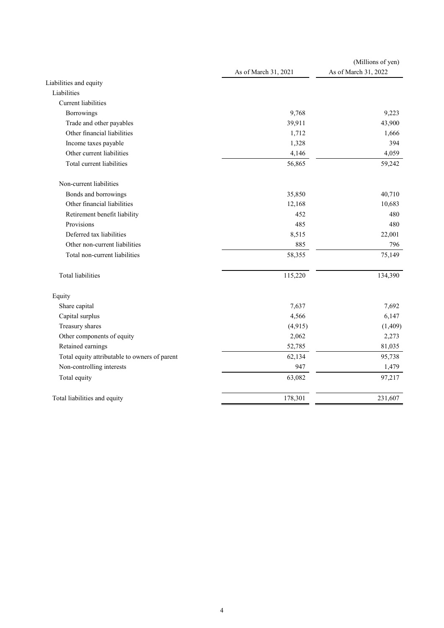|                                               | As of March 31, 2021 | (Millions of yen)<br>As of March 31, 2022 |
|-----------------------------------------------|----------------------|-------------------------------------------|
| Liabilities and equity                        |                      |                                           |
| Liabilities                                   |                      |                                           |
| Current liabilities                           |                      |                                           |
| Borrowings                                    | 9,768                | 9,223                                     |
| Trade and other payables                      | 39,911               | 43,900                                    |
| Other financial liabilities                   | 1,712                | 1,666                                     |
| Income taxes payable                          | 1,328                | 394                                       |
| Other current liabilities                     | 4,146                | 4,059                                     |
| Total current liabilities                     | 56,865               | 59,242                                    |
| Non-current liabilities                       |                      |                                           |
| Bonds and borrowings                          | 35,850               | 40,710                                    |
| Other financial liabilities                   | 12,168               | 10,683                                    |
| Retirement benefit liability                  | 452                  | 480                                       |
| Provisions                                    | 485                  | 480                                       |
| Deferred tax liabilities                      | 8,515                | 22,001                                    |
| Other non-current liabilities                 | 885                  | 796                                       |
| Total non-current liabilities                 | 58,355               | 75,149                                    |
| <b>Total liabilities</b>                      | 115,220              | 134,390                                   |
| Equity                                        |                      |                                           |
| Share capital                                 | 7,637                | 7,692                                     |
| Capital surplus                               | 4,566                | 6,147                                     |
| Treasury shares                               | (4, 915)             | (1, 409)                                  |
| Other components of equity                    | 2,062                | 2,273                                     |
| Retained earnings                             | 52,785               | 81,035                                    |
| Total equity attributable to owners of parent | 62,134               | 95,738                                    |
| Non-controlling interests                     | 947                  | 1,479                                     |
| Total equity                                  | 63,082               | 97,217                                    |
| Total liabilities and equity                  | 178,301              | 231,607                                   |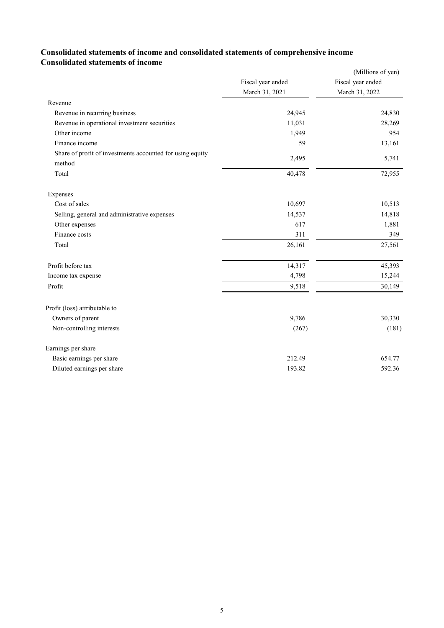### **Consolidated statements of income and consolidated statements of comprehensive income Consolidated statements of income**

|                                                                     |                   | (Millions of yen) |
|---------------------------------------------------------------------|-------------------|-------------------|
|                                                                     | Fiscal year ended | Fiscal year ended |
|                                                                     | March 31, 2021    | March 31, 2022    |
| Revenue                                                             |                   |                   |
| Revenue in recurring business                                       | 24,945            | 24,830            |
| Revenue in operational investment securities                        | 11,031            | 28,269            |
| Other income                                                        | 1,949             | 954               |
| Finance income                                                      | 59                | 13,161            |
| Share of profit of investments accounted for using equity<br>method | 2,495             | 5,741             |
| Total                                                               | 40,478            | 72,955            |
| Expenses                                                            |                   |                   |
| Cost of sales                                                       | 10,697            | 10,513            |
| Selling, general and administrative expenses                        | 14,537            | 14,818            |
| Other expenses                                                      | 617               | 1,881             |
| Finance costs                                                       | 311               | 349               |
| Total                                                               | 26,161            | 27,561            |
| Profit before tax                                                   | 14,317            | 45,393            |
| Income tax expense                                                  | 4,798             | 15,244            |
| Profit                                                              | 9,518             | 30,149            |
| Profit (loss) attributable to                                       |                   |                   |
| Owners of parent                                                    | 9,786             | 30,330            |
| Non-controlling interests                                           | (267)             | (181)             |
| Earnings per share                                                  |                   |                   |
| Basic earnings per share                                            | 212.49            | 654.77            |
| Diluted earnings per share                                          | 193.82            | 592.36            |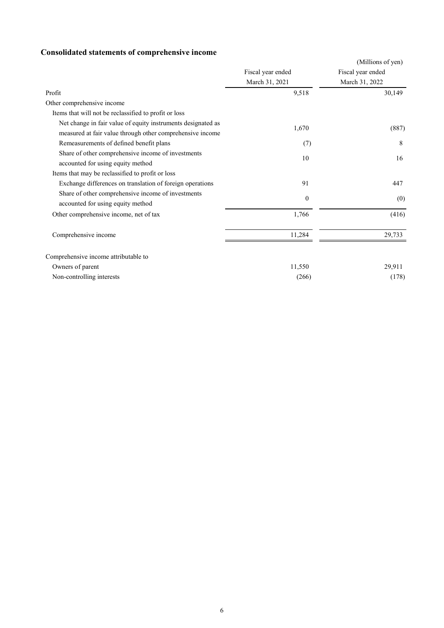# **Consolidated statements of comprehensive income**

|                                                                                                                           |                   | (Millions of yen) |
|---------------------------------------------------------------------------------------------------------------------------|-------------------|-------------------|
|                                                                                                                           | Fiscal year ended | Fiscal year ended |
|                                                                                                                           | March 31, 2021    | March 31, 2022    |
| Profit                                                                                                                    | 9,518             | 30,149            |
| Other comprehensive income                                                                                                |                   |                   |
| Items that will not be reclassified to profit or loss                                                                     |                   |                   |
| Net change in fair value of equity instruments designated as<br>measured at fair value through other comprehensive income | 1,670             | (887)             |
| Remeasurements of defined benefit plans                                                                                   | (7)               | 8                 |
| Share of other comprehensive income of investments<br>accounted for using equity method                                   | 10                | 16                |
| Items that may be reclassified to profit or loss                                                                          |                   |                   |
| Exchange differences on translation of foreign operations                                                                 | 91                | 447               |
| Share of other comprehensive income of investments<br>accounted for using equity method                                   | $\mathbf{0}$      | (0)               |
| Other comprehensive income, net of tax                                                                                    | 1,766             | (416)             |
| Comprehensive income                                                                                                      | 11,284            | 29,733            |
| Comprehensive income attributable to                                                                                      |                   |                   |
| Owners of parent                                                                                                          | 11,550            | 29,911            |
| Non-controlling interests                                                                                                 | (266)             | (178)             |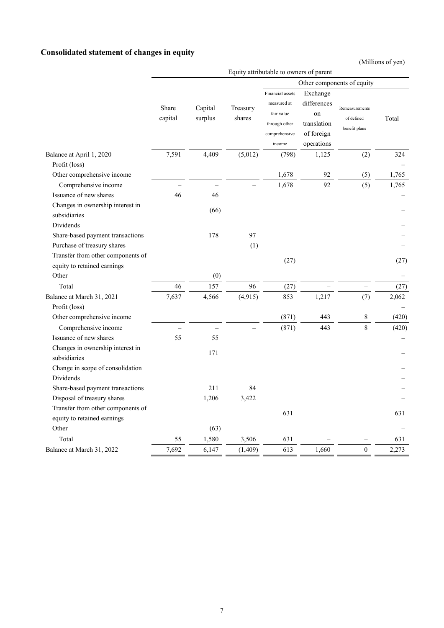# **Consolidated statement of changes in equity**

(Millions of yen)

|                                                                  | Equity attributable to owners of parent |                    |                    |                                                                                           |                                                                          |                                               |       |
|------------------------------------------------------------------|-----------------------------------------|--------------------|--------------------|-------------------------------------------------------------------------------------------|--------------------------------------------------------------------------|-----------------------------------------------|-------|
|                                                                  | Other components of equity              |                    |                    |                                                                                           |                                                                          |                                               |       |
|                                                                  | Share<br>capital                        | Capital<br>surplus | Treasury<br>shares | Financial assets<br>measured at<br>fair value<br>through other<br>comprehensive<br>income | Exchange<br>differences<br>on<br>translation<br>of foreign<br>operations | Remeasurements<br>of defined<br>benefit plans | Total |
| Balance at April 1, 2020                                         | 7,591                                   | 4,409              | (5,012)            | (798)                                                                                     | 1,125                                                                    | (2)                                           | 324   |
| Profit (loss)                                                    |                                         |                    |                    |                                                                                           |                                                                          |                                               |       |
| Other comprehensive income                                       |                                         |                    |                    | 1,678                                                                                     | 92                                                                       | (5)                                           | 1,765 |
| Comprehensive income                                             |                                         |                    |                    | 1,678                                                                                     | 92                                                                       | (5)                                           | 1,765 |
| Issuance of new shares                                           | 46                                      | 46                 |                    |                                                                                           |                                                                          |                                               |       |
| Changes in ownership interest in<br>subsidiaries                 |                                         | (66)               |                    |                                                                                           |                                                                          |                                               |       |
| Dividends                                                        |                                         |                    |                    |                                                                                           |                                                                          |                                               |       |
| Share-based payment transactions                                 |                                         | 178                | 97                 |                                                                                           |                                                                          |                                               |       |
| Purchase of treasury shares                                      |                                         |                    | (1)                |                                                                                           |                                                                          |                                               |       |
| Transfer from other components of                                |                                         |                    |                    | (27)                                                                                      |                                                                          |                                               | (27)  |
| equity to retained earnings                                      |                                         |                    |                    |                                                                                           |                                                                          |                                               |       |
| Other                                                            |                                         | (0)                |                    |                                                                                           |                                                                          |                                               |       |
| Total                                                            | 46                                      | 157                | 96                 | (27)                                                                                      |                                                                          |                                               | (27)  |
| Balance at March 31, 2021<br>Profit (loss)                       | 7,637                                   | 4,566              | (4,915)            | 853                                                                                       | 1,217                                                                    | (7)                                           | 2,062 |
| Other comprehensive income                                       |                                         |                    |                    | (871)                                                                                     | 443                                                                      | 8                                             | (420) |
| Comprehensive income                                             |                                         |                    |                    | (871)                                                                                     | 443                                                                      | 8                                             | (420) |
| Issuance of new shares                                           | 55                                      | 55                 |                    |                                                                                           |                                                                          |                                               |       |
| Changes in ownership interest in<br>subsidiaries                 |                                         | 171                |                    |                                                                                           |                                                                          |                                               |       |
| Change in scope of consolidation<br>Dividends                    |                                         |                    |                    |                                                                                           |                                                                          |                                               |       |
| Share-based payment transactions                                 |                                         | 211                | 84                 |                                                                                           |                                                                          |                                               |       |
| Disposal of treasury shares                                      |                                         | 1,206              | 3,422              |                                                                                           |                                                                          |                                               |       |
| Transfer from other components of<br>equity to retained earnings |                                         |                    |                    | 631                                                                                       |                                                                          |                                               | 631   |
| Other                                                            |                                         | (63)               |                    |                                                                                           |                                                                          |                                               |       |
| Total                                                            | 55                                      | 1,580              | 3,506              | 631                                                                                       |                                                                          |                                               | 631   |
| Balance at March 31, 2022                                        | 7,692                                   | 6,147              | (1, 409)           | 613                                                                                       | 1,660                                                                    | $\mathbf{0}$                                  | 2,273 |
|                                                                  |                                         |                    |                    |                                                                                           |                                                                          |                                               |       |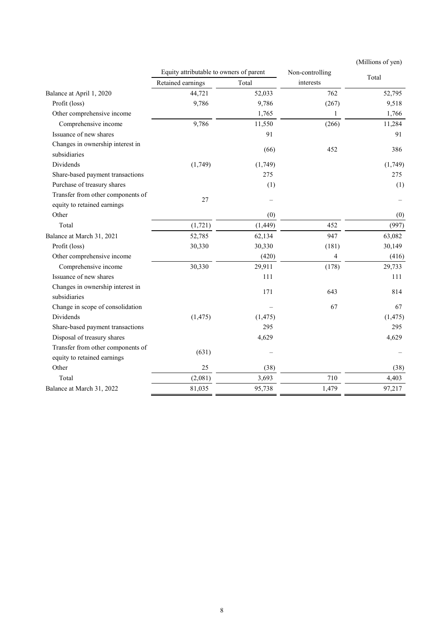|                                                  |                                         |          |                 | (Millions of yen) |
|--------------------------------------------------|-----------------------------------------|----------|-----------------|-------------------|
|                                                  | Equity attributable to owners of parent |          | Non-controlling | Total             |
|                                                  | Retained earnings                       | Total    | interests       |                   |
| Balance at April 1, 2020                         | 44,721                                  | 52,033   | 762             | 52,795            |
| Profit (loss)                                    | 9,786                                   | 9,786    | (267)           | 9,518             |
| Other comprehensive income                       |                                         | 1,765    | $\mathbf{1}$    | 1,766             |
| Comprehensive income                             | 9,786                                   | 11,550   | (266)           | 11,284            |
| Issuance of new shares                           |                                         | 91       |                 | 91                |
| Changes in ownership interest in                 |                                         | (66)     | 452             | 386               |
| subsidiaries                                     |                                         |          |                 |                   |
| Dividends                                        | (1,749)                                 | (1,749)  |                 | (1,749)           |
| Share-based payment transactions                 |                                         | 275      |                 | 275               |
| Purchase of treasury shares                      |                                         | (1)      |                 | (1)               |
| Transfer from other components of                | 27                                      |          |                 |                   |
| equity to retained earnings                      |                                         |          |                 |                   |
| Other                                            |                                         | (0)      |                 | (0)               |
| Total                                            | (1, 721)                                | (1, 449) | 452             | (997)             |
| Balance at March 31, 2021                        | 52,785                                  | 62,134   | 947             | 63,082            |
| Profit (loss)                                    | 30,330                                  | 30,330   | (181)           | 30,149            |
| Other comprehensive income                       |                                         | (420)    | 4               | (416)             |
| Comprehensive income                             | 30,330                                  | 29,911   | (178)           | 29,733            |
| Issuance of new shares                           |                                         | 111      |                 | 111               |
| Changes in ownership interest in<br>subsidiaries |                                         | 171      | 643             | 814               |
| Change in scope of consolidation                 |                                         |          | 67              | 67                |
| Dividends                                        | (1, 475)                                | (1, 475) |                 | (1, 475)          |
| Share-based payment transactions                 |                                         | 295      |                 | 295               |
| Disposal of treasury shares                      |                                         | 4,629    |                 | 4,629             |
| Transfer from other components of                |                                         |          |                 |                   |
| equity to retained earnings                      | (631)                                   |          |                 |                   |
| Other                                            | 25                                      | (38)     |                 | (38)              |
| Total                                            | (2,081)                                 | 3,693    | 710             | 4,403             |
| Balance at March 31, 2022                        | 81,035                                  | 95,738   | 1,479           | 97,217            |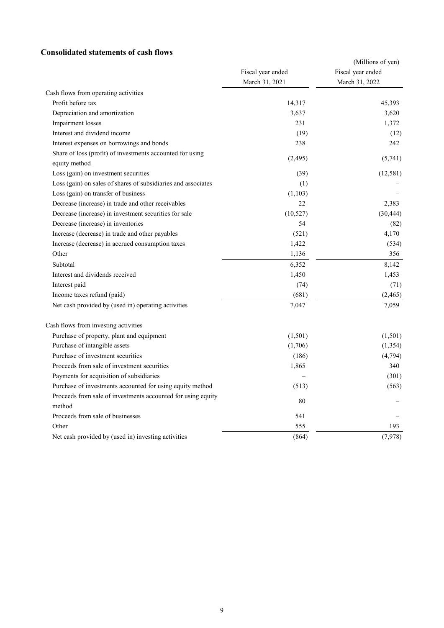### **Consolidated statements of cash flows**

|                                                                            |                   | (Millions of yen) |
|----------------------------------------------------------------------------|-------------------|-------------------|
|                                                                            | Fiscal year ended | Fiscal year ended |
|                                                                            | March 31, 2021    | March 31, 2022    |
| Cash flows from operating activities                                       |                   |                   |
| Profit before tax                                                          | 14,317            | 45,393            |
| Depreciation and amortization                                              | 3,637             | 3,620             |
| Impairment losses                                                          | 231               | 1,372             |
| Interest and dividend income                                               | (19)              | (12)              |
| Interest expenses on borrowings and bonds                                  | 238               | 242               |
| Share of loss (profit) of investments accounted for using<br>equity method | (2, 495)          | (5,741)           |
| Loss (gain) on investment securities                                       | (39)              | (12,581)          |
| Loss (gain) on sales of shares of subsidiaries and associates              | (1)               |                   |
| Loss (gain) on transfer of business                                        | (1,103)           |                   |
| Decrease (increase) in trade and other receivables                         | 22                | 2,383             |
| Decrease (increase) in investment securities for sale                      | (10,527)          | (30, 444)         |
| Decrease (increase) in inventories                                         | 54                | (82)              |
| Increase (decrease) in trade and other payables                            | (521)             | 4,170             |
| Increase (decrease) in accrued consumption taxes                           | 1,422             | (534)             |
| Other                                                                      | 1,136             | 356               |
| Subtotal                                                                   | 6,352             | 8,142             |
| Interest and dividends received                                            | 1,450             | 1,453             |
| Interest paid                                                              | (74)              | (71)              |
| Income taxes refund (paid)                                                 | (681)             | (2, 465)          |
| Net cash provided by (used in) operating activities                        | 7,047             | 7,059             |
| Cash flows from investing activities                                       |                   |                   |
| Purchase of property, plant and equipment                                  | (1,501)           | (1,501)           |
| Purchase of intangible assets                                              | (1,706)           | (1,354)           |
| Purchase of investment securities                                          | (186)             | (4,794)           |
| Proceeds from sale of investment securities                                | 1,865             | 340               |
| Payments for acquisition of subsidiaries                                   |                   | (301)             |
| Purchase of investments accounted for using equity method                  | (513)             | (563)             |
| Proceeds from sale of investments accounted for using equity<br>method     | 80                |                   |
| Proceeds from sale of businesses                                           | 541               |                   |
| Other                                                                      | 555               | 193               |
| Net cash provided by (used in) investing activities                        | (864)             | (7,978)           |